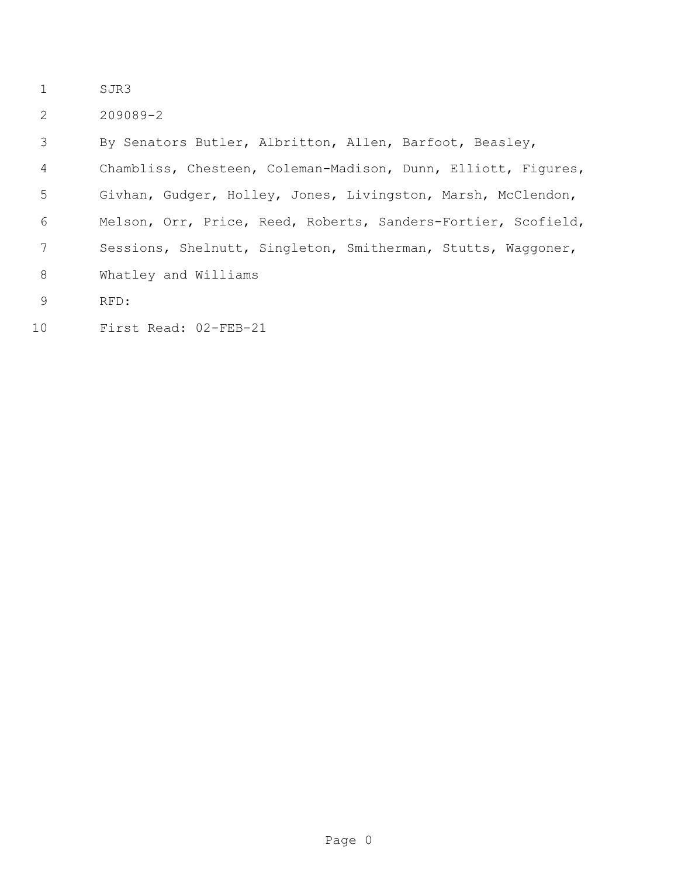- SJR3
- 209089-2

 By Senators Butler, Albritton, Allen, Barfoot, Beasley, Chambliss, Chesteen, Coleman-Madison, Dunn, Elliott, Figures, Givhan, Gudger, Holley, Jones, Livingston, Marsh, McClendon, Melson, Orr, Price, Reed, Roberts, Sanders-Fortier, Scofield, Sessions, Shelnutt, Singleton, Smitherman, Stutts, Waggoner, Whatley and Williams

- RFD:
- First Read: 02-FEB-21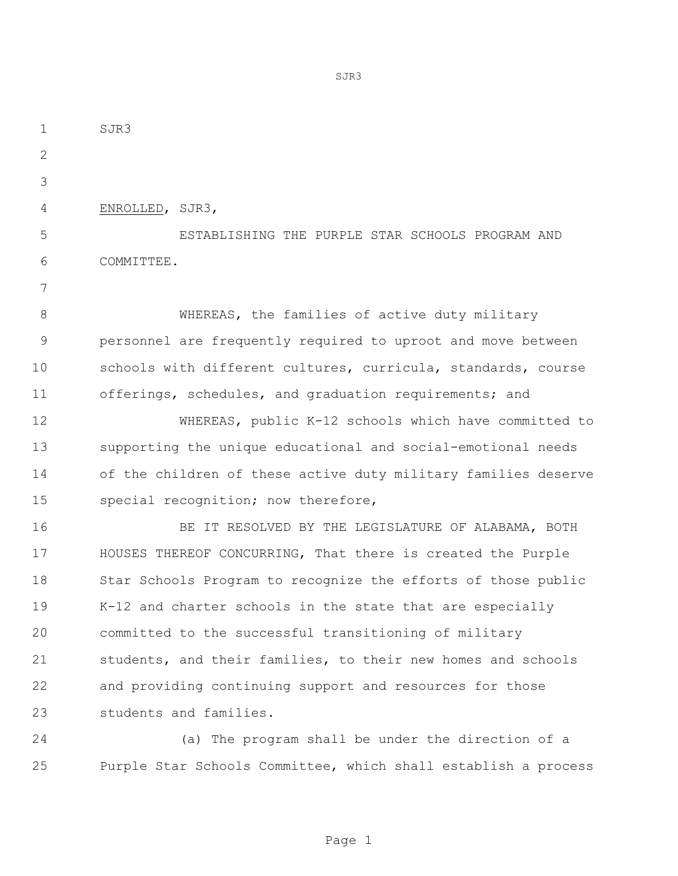SJR3 ENROLLED, SJR3, ESTABLISHING THE PURPLE STAR SCHOOLS PROGRAM AND COMMITTEE. 8 WHEREAS, the families of active duty military personnel are frequently required to uproot and move between schools with different cultures, curricula, standards, course offerings, schedules, and graduation requirements; and WHEREAS, public K-12 schools which have committed to supporting the unique educational and social-emotional needs of the children of these active duty military families deserve

SJR3

 special recognition; now therefore, BE IT RESOLVED BY THE LEGISLATURE OF ALABAMA, BOTH

 HOUSES THEREOF CONCURRING, That there is created the Purple Star Schools Program to recognize the efforts of those public K-12 and charter schools in the state that are especially committed to the successful transitioning of military students, and their families, to their new homes and schools and providing continuing support and resources for those students and families.

 (a) The program shall be under the direction of a Purple Star Schools Committee, which shall establish a process

Page 1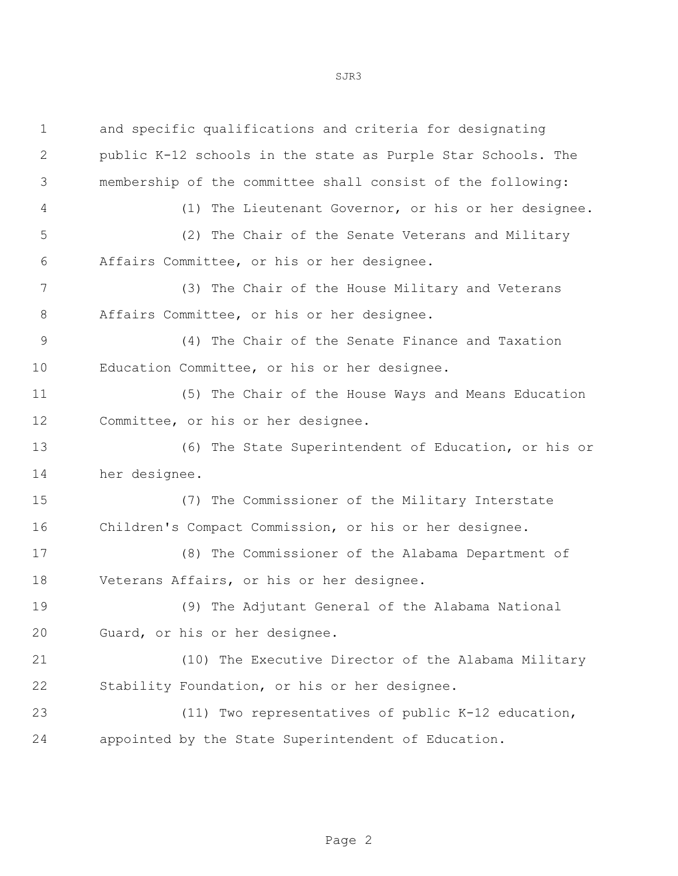SJR3

 and specific qualifications and criteria for designating public K-12 schools in the state as Purple Star Schools. The membership of the committee shall consist of the following: (1) The Lieutenant Governor, or his or her designee. (2) The Chair of the Senate Veterans and Military Affairs Committee, or his or her designee. (3) The Chair of the House Military and Veterans Affairs Committee, or his or her designee. (4) The Chair of the Senate Finance and Taxation Education Committee, or his or her designee. (5) The Chair of the House Ways and Means Education Committee, or his or her designee. (6) The State Superintendent of Education, or his or her designee. (7) The Commissioner of the Military Interstate Children's Compact Commission, or his or her designee. (8) The Commissioner of the Alabama Department of Veterans Affairs, or his or her designee. (9) The Adjutant General of the Alabama National Guard, or his or her designee. (10) The Executive Director of the Alabama Military Stability Foundation, or his or her designee. (11) Two representatives of public K-12 education, appointed by the State Superintendent of Education.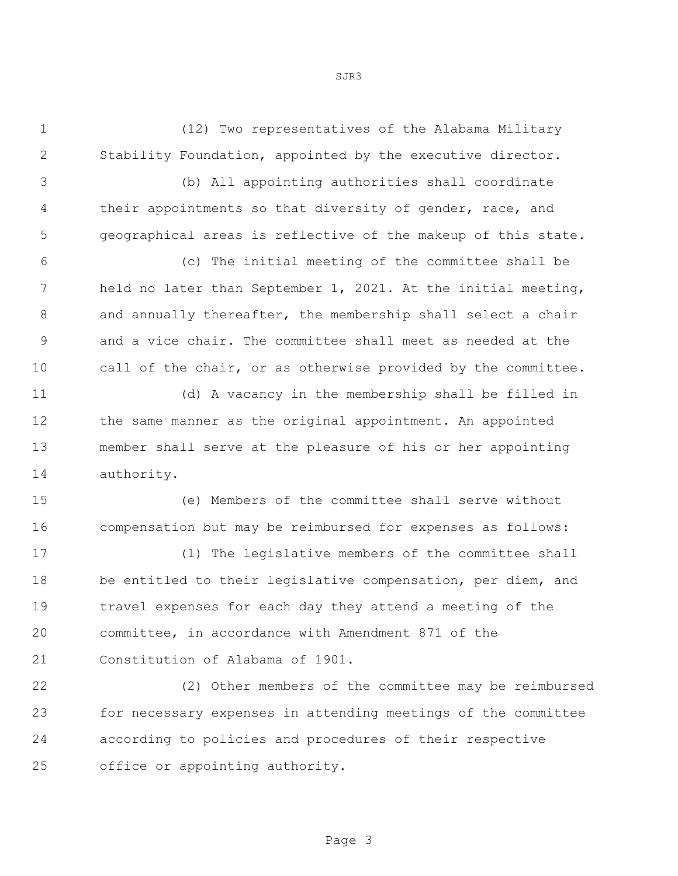(12) Two representatives of the Alabama Military Stability Foundation, appointed by the executive director.

 (b) All appointing authorities shall coordinate 4 their appointments so that diversity of gender, race, and geographical areas is reflective of the makeup of this state.

 (c) The initial meeting of the committee shall be held no later than September 1, 2021. At the initial meeting, 8 and annually thereafter, the membership shall select a chair and a vice chair. The committee shall meet as needed at the call of the chair, or as otherwise provided by the committee.

 (d) A vacancy in the membership shall be filled in the same manner as the original appointment. An appointed member shall serve at the pleasure of his or her appointing authority.

 (e) Members of the committee shall serve without compensation but may be reimbursed for expenses as follows:

 (1) The legislative members of the committee shall be entitled to their legislative compensation, per diem, and travel expenses for each day they attend a meeting of the committee, in accordance with Amendment 871 of the Constitution of Alabama of 1901.

 (2) Other members of the committee may be reimbursed for necessary expenses in attending meetings of the committee according to policies and procedures of their respective office or appointing authority.

SJR3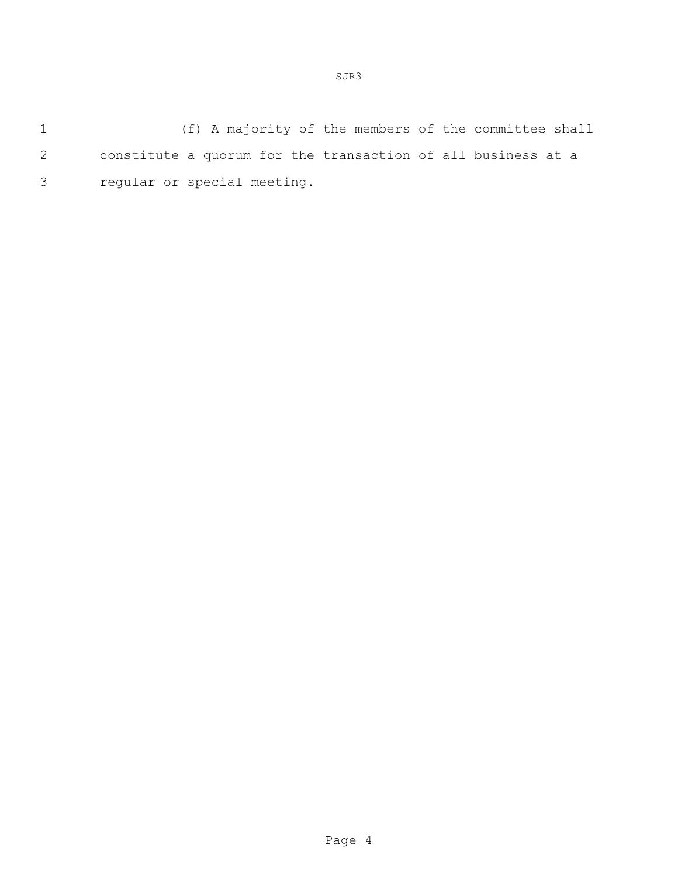1 (f) A majority of the members of the committee shall 2 constitute a quorum for the transaction of all business at a 3 regular or special meeting.